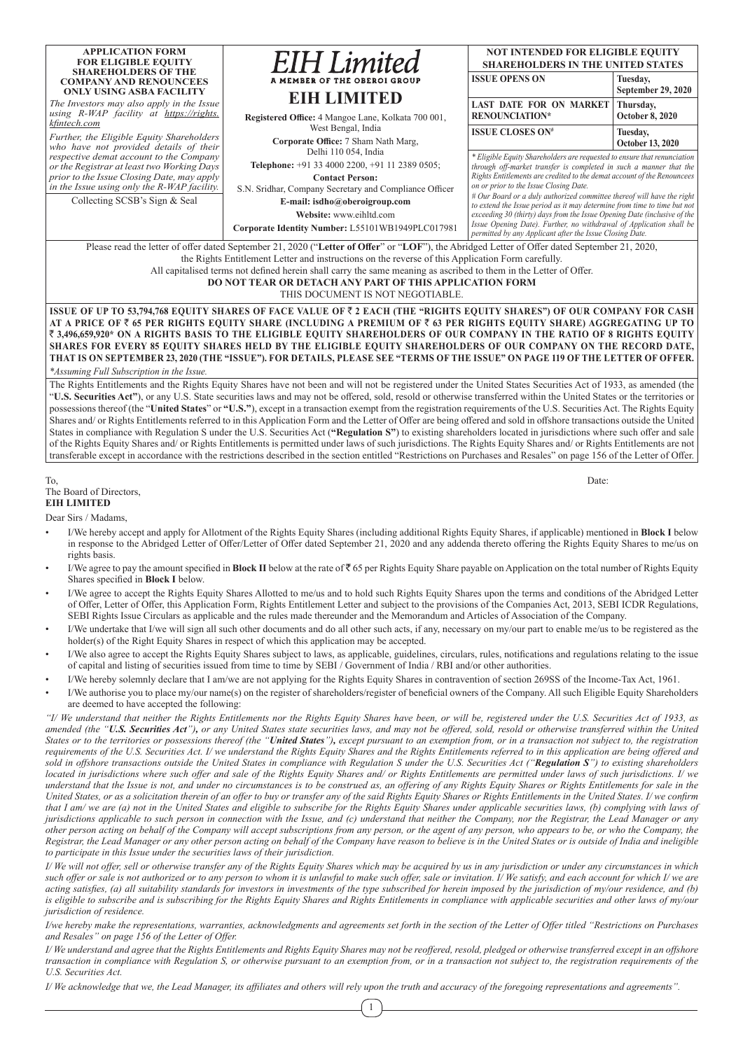| <b>APPLICATION FORM</b>                                                                                                                                                                                                                                                                                                                        | <b>EIH</b> Limited                                                                                                                                            | <b>NOT INTENDED FOR ELIGIBLE EQUITY</b>                                                                                                                                                     |                         |  |  |  |  |  |  |
|------------------------------------------------------------------------------------------------------------------------------------------------------------------------------------------------------------------------------------------------------------------------------------------------------------------------------------------------|---------------------------------------------------------------------------------------------------------------------------------------------------------------|---------------------------------------------------------------------------------------------------------------------------------------------------------------------------------------------|-------------------------|--|--|--|--|--|--|
| <b>FOR ELIGIBLE EQUITY</b><br><b>SHAREHOLDERS OF THE</b>                                                                                                                                                                                                                                                                                       |                                                                                                                                                               | <b>SHAREHOLDERS IN THE UNITED STATES</b>                                                                                                                                                    |                         |  |  |  |  |  |  |
| <b>COMPANY AND RENOUNCEES</b>                                                                                                                                                                                                                                                                                                                  | A MEMBER OF THE OBEROI GROUP                                                                                                                                  | <b>ISSUE OPENS ON</b>                                                                                                                                                                       | Tuesday,                |  |  |  |  |  |  |
| <b>ONLY USING ASBA FACILITY</b>                                                                                                                                                                                                                                                                                                                | <b>EIH LIMITED</b>                                                                                                                                            |                                                                                                                                                                                             | September 29, 2020      |  |  |  |  |  |  |
| The Investors may also apply in the Issue                                                                                                                                                                                                                                                                                                      |                                                                                                                                                               | LAST DATE FOR ON MARKET                                                                                                                                                                     | Thursday,               |  |  |  |  |  |  |
| using R-WAP facility at https://rights.<br>kfintech.com                                                                                                                                                                                                                                                                                        | Registered Office: 4 Mangoe Lane, Kolkata 700 001,                                                                                                            | <b>RENOUNCIATION*</b>                                                                                                                                                                       | <b>October 8, 2020</b>  |  |  |  |  |  |  |
|                                                                                                                                                                                                                                                                                                                                                | West Bengal, India                                                                                                                                            | <b>ISSUE CLOSES ON#</b>                                                                                                                                                                     | Tuesday,                |  |  |  |  |  |  |
| Further, the Eligible Equity Shareholders<br>who have not provided details of their                                                                                                                                                                                                                                                            | Corporate Office: 7 Sham Nath Marg,                                                                                                                           |                                                                                                                                                                                             | <b>October 13, 2020</b> |  |  |  |  |  |  |
| respective demat account to the Company                                                                                                                                                                                                                                                                                                        | Delhi 110 054, India                                                                                                                                          | * Eligible Equity Shareholders are requested to ensure that renunciation                                                                                                                    |                         |  |  |  |  |  |  |
| or the Registrar at least two Working Days                                                                                                                                                                                                                                                                                                     | Telephone: +91 33 4000 2200, +91 11 2389 0505;                                                                                                                | through off-market transfer is completed in such a manner that the                                                                                                                          |                         |  |  |  |  |  |  |
| prior to the Issue Closing Date, may apply                                                                                                                                                                                                                                                                                                     | <b>Contact Person:</b>                                                                                                                                        | Rights Entitlements are credited to the demat account of the Renouncees<br>on or prior to the Issue Closing Date.<br># Our Board or a duly authorized committee thereof will have the right |                         |  |  |  |  |  |  |
| in the Issue using only the R-WAP facility.                                                                                                                                                                                                                                                                                                    | S.N. Sridhar, Company Secretary and Compliance Officer                                                                                                        |                                                                                                                                                                                             |                         |  |  |  |  |  |  |
| Collecting SCSB's Sign & Seal                                                                                                                                                                                                                                                                                                                  | E-mail: isdho@oberoigroup.com                                                                                                                                 | to extend the Issue period as it may determine from time to time but not                                                                                                                    |                         |  |  |  |  |  |  |
|                                                                                                                                                                                                                                                                                                                                                | Website: www.eihltd.com<br>Corporate Identity Number: L55101WB1949PLC017981                                                                                   | exceeding 30 (thirty) days from the Issue Opening Date (inclusive of the<br>Issue Opening Date). Further, no withdrawal of Application shall be                                             |                         |  |  |  |  |  |  |
|                                                                                                                                                                                                                                                                                                                                                |                                                                                                                                                               | permitted by any Applicant after the Issue Closing Date.                                                                                                                                    |                         |  |  |  |  |  |  |
| Please read the letter of offer dated September 21, 2020 ("Letter of Offer" or "LOF"), the Abridged Letter of Offer dated September 21, 2020,                                                                                                                                                                                                  |                                                                                                                                                               |                                                                                                                                                                                             |                         |  |  |  |  |  |  |
| the Rights Entitlement Letter and instructions on the reverse of this Application Form carefully.                                                                                                                                                                                                                                              |                                                                                                                                                               |                                                                                                                                                                                             |                         |  |  |  |  |  |  |
| All capitalised terms not defined herein shall carry the same meaning as ascribed to them in the Letter of Offer.                                                                                                                                                                                                                              |                                                                                                                                                               |                                                                                                                                                                                             |                         |  |  |  |  |  |  |
| <b>DO NOT TEAR OR DETACH ANY PART OF THIS APPLICATION FORM</b>                                                                                                                                                                                                                                                                                 |                                                                                                                                                               |                                                                                                                                                                                             |                         |  |  |  |  |  |  |
| THIS DOCUMENT IS NOT NEGOTIABLE.                                                                                                                                                                                                                                                                                                               |                                                                                                                                                               |                                                                                                                                                                                             |                         |  |  |  |  |  |  |
|                                                                                                                                                                                                                                                                                                                                                | ISSUE OF UP TO 53,794,768 EQUITY SHARES OF FACE VALUE OF ₹ 2 EACH (THE "RIGHTS EQUITY SHARES") OF OUR COMPANY FOR CASH                                        |                                                                                                                                                                                             |                         |  |  |  |  |  |  |
| AT A PRICE OF ₹ 65 PER RIGHTS EQUITY SHARE (INCLUDING A PREMIUM OF ₹ 63 PER RIGHTS EQUITY SHARE) AGGREGATING UP TO                                                                                                                                                                                                                             |                                                                                                                                                               |                                                                                                                                                                                             |                         |  |  |  |  |  |  |
| ₹3,496,659,920* ON A RIGHTS BASIS TO THE ELIGIBLE EQUITY SHAREHOLDERS OF OUR COMPANY IN THE RATIO OF 8 RIGHTS EQUITY                                                                                                                                                                                                                           |                                                                                                                                                               |                                                                                                                                                                                             |                         |  |  |  |  |  |  |
| SHARES FOR EVERY 85 EQUITY SHARES HELD BY THE ELIGIBLE EQUITY SHAREHOLDERS OF OUR COMPANY ON THE RECORD DATE,                                                                                                                                                                                                                                  |                                                                                                                                                               |                                                                                                                                                                                             |                         |  |  |  |  |  |  |
| THAT IS ON SEPTEMBER 23, 2020 (THE "ISSUE"). FOR DETAILS, PLEASE SEE "TERMS OF THE ISSUE" ON PAGE 119 OF THE LETTER OF OFFER.                                                                                                                                                                                                                  |                                                                                                                                                               |                                                                                                                                                                                             |                         |  |  |  |  |  |  |
| *Assuming Full Subscription in the Issue.                                                                                                                                                                                                                                                                                                      |                                                                                                                                                               |                                                                                                                                                                                             |                         |  |  |  |  |  |  |
|                                                                                                                                                                                                                                                                                                                                                | The Rights Entitlements and the Rights Equity Shares have not been and will not be registered under the United States Securities Act of 1933, as amended (the |                                                                                                                                                                                             |                         |  |  |  |  |  |  |
| "U.S. Securities Act"), or any U.S. State securities laws and may not be offered, sold, resold or otherwise transferred within the United States or the territories or                                                                                                                                                                         |                                                                                                                                                               |                                                                                                                                                                                             |                         |  |  |  |  |  |  |
| possessions thereof (the "United States" or "U.S."), except in a transaction exempt from the registration requirements of the U.S. Securities Act. The Rights Equity                                                                                                                                                                           |                                                                                                                                                               |                                                                                                                                                                                             |                         |  |  |  |  |  |  |
| Shares and/ or Rights Entitlements referred to in this Application Form and the Letter of Offer are being offered and sold in offshore transactions outside the United<br>States in compliance with Deculation S under the U.S. Sequestion A at ("Degulation $S$ ") to existing shoreholders logated in unredictions where such offer and solo |                                                                                                                                                               |                                                                                                                                                                                             |                         |  |  |  |  |  |  |

ompliance with Regulation S under the U.S. Securities Act ("Regulation S") to existing shareholders located in jurisdictions where such offer and sale of the Rights Equity Shares and/ or Rights Entitlements is permitted under laws of such jurisdictions. The Rights Equity Shares and/ or Rights Entitlements are not transferable except in accordance with the restrictions described in the section entitled "Restrictions on Purchases and Resales" on page 156 of the Letter of Offer.

#### To, Date: The Board of Directors, **EIH LIMITED**

Dear Sirs / Madams,

- I/We hereby accept and apply for Allotment of the Rights Equity Shares (including additional Rights Equity Shares, if applicable) mentioned in **Block I** below in response to the Abridged Letter of Offer/Letter of Offer dated September 21, 2020 and any addenda thereto offering the Rights Equity Shares to me/us on rights basis.
- I/We agree to pay the amount specified in **Block II** below at the rate of  $\bar{\tau}$  65 per Rights Equity Share payable on Application on the total number of Rights Equity Shares specified in **Block I** below.
- I/We agree to accept the Rights Equity Shares Allotted to me/us and to hold such Rights Equity Shares upon the terms and conditions of the Abridged Letter of Offer, Letter of Offer, this Application Form, Rights Entitlement Letter and subject to the provisions of the Companies Act, 2013, SEBI ICDR Regulations, SEBI Rights Issue Circulars as applicable and the rules made thereunder and the Memorandum and Articles of Association of the Company.
- I/We undertake that I/we will sign all such other documents and do all other such acts, if any, necessary on my/our part to enable me/us to be registered as the holder(s) of the Right Equity Shares in respect of which this application may be accepted.
- I/We also agree to accept the Rights Equity Shares subject to laws, as applicable, guidelines, circulars, rules, notifications and regulations relating to the issue of capital and listing of securities issued from time to time by SEBI / Government of India / RBI and/or other authorities.
- I/We hereby solemnly declare that I am/we are not applying for the Rights Equity Shares in contravention of section 269SS of the Income-Tax Act, 1961.
- I/We authorise you to place my/our name(s) on the register of shareholders/register of beneficial owners of the Company. All such Eligible Equity Shareholders are deemed to have accepted the following:

*"I/ We understand that neither the Rights Entitlements nor the Rights Equity Shares have been, or will be, registered under the U.S. Securities Act of 1933, as amended (the "U.S. Securities Act"), or any United States state securities laws, and may not be offered, sold, resold or otherwise transferred within the United States or to the territories or possessions thereof (the "United States"), except pursuant to an exemption from, or in a transaction not subject to, the registration requirements of the U.S. Securities Act. I/ we understand the Rights Equity Shares and the Rights Entitlements referred to in this application are being offered and sold in offshore transactions outside the United States in compliance with Regulation S under the U.S. Securities Act ("Regulation S") to existing shareholders located in jurisdictions where such offer and sale of the Rights Equity Shares and/ or Rights Entitlements are permitted under laws of such jurisdictions. I/ we understand that the Issue is not, and under no circumstances is to be construed as, an offering of any Rights Equity Shares or Rights Entitlements for sale in the United States, or as a solicitation therein of an offer to buy or transfer any of the said Rights Equity Shares or Rights Entitlements in the United States. I/ we confirm that I am/ we are (a) not in the United States and eligible to subscribe for the Rights Equity Shares under applicable securities laws, (b) complying with laws of jurisdictions applicable to such person in connection with the Issue, and (c) understand that neither the Company, nor the Registrar, the Lead Manager or any other person acting on behalf of the Company will accept subscriptions from any person, or the agent of any person, who appears to be, or who the Company, the Registrar, the Lead Manager or any other person acting on behalf of the Company have reason to believe is in the United States or is outside of India and ineligible to participate in this Issue under the securities laws of their jurisdiction.*

*I/ We will not offer, sell or otherwise transfer any of the Rights Equity Shares which may be acquired by us in any jurisdiction or under any circumstances in which*  such offer or sale is not authorized or to any person to whom it is unlawful to make such offer, sale or invitation. I/ We satisfy, and each account for which I/ we are *acting satisfies, (a) all suitability standards for investors in investments of the type subscribed for herein imposed by the jurisdiction of my/our residence, and (b)*  is eligible to subscribe and is subscribing for the Rights Equity Shares and Rights Entitlements in compliance with applicable securities and other laws of my/our *jurisdiction of residence.*

*I/we hereby make the representations, warranties, acknowledgments and agreements set forth in the section of the Letter of Offer titled "Restrictions on Purchases and Resales" on page 156 of the Letter of Offer.*

*I/ We understand and agree that the Rights Entitlements and Rights Equity Shares may not be reoffered, resold, pledged or otherwise transferred except in an offshore transaction in compliance with Regulation S, or otherwise pursuant to an exemption from, or in a transaction not subject to, the registration requirements of the U.S. Securities Act.*

*I/ We acknowledge that we, the Lead Manager, its affiliates and others will rely upon the truth and accuracy of the foregoing representations and agreements".*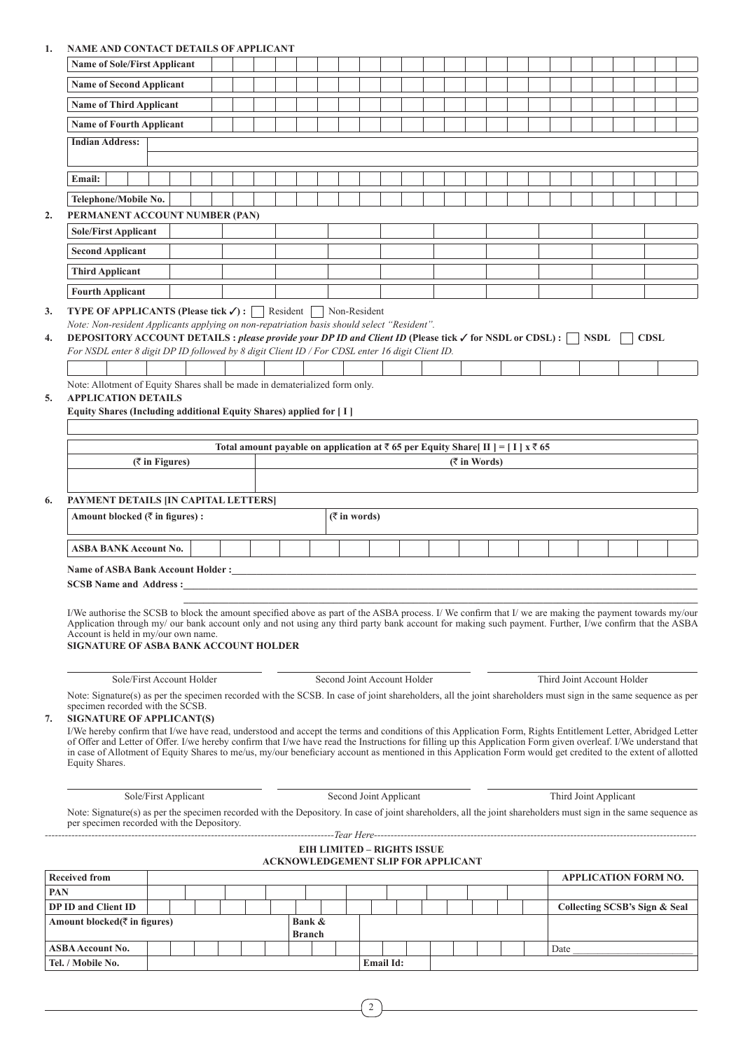# **1. NAME AND CONTACT DETAILS OF APPLICANT**

|            | NAME AND CONTACT DE FAILS OF AFFEICANT                                                                                                                                                                                                                                                                                                                                                                                                                                                                                                                                                                                                                                                                                                                        |                      |  |  |  |        |        |  |                 |                                                                                                       |  |                 |  |      |                               |  |             |  |
|------------|---------------------------------------------------------------------------------------------------------------------------------------------------------------------------------------------------------------------------------------------------------------------------------------------------------------------------------------------------------------------------------------------------------------------------------------------------------------------------------------------------------------------------------------------------------------------------------------------------------------------------------------------------------------------------------------------------------------------------------------------------------------|----------------------|--|--|--|--------|--------|--|-----------------|-------------------------------------------------------------------------------------------------------|--|-----------------|--|------|-------------------------------|--|-------------|--|
|            | <b>Name of Sole/First Applicant</b>                                                                                                                                                                                                                                                                                                                                                                                                                                                                                                                                                                                                                                                                                                                           |                      |  |  |  |        |        |  |                 |                                                                                                       |  |                 |  |      |                               |  |             |  |
|            | <b>Name of Second Applicant</b>                                                                                                                                                                                                                                                                                                                                                                                                                                                                                                                                                                                                                                                                                                                               |                      |  |  |  |        |        |  |                 |                                                                                                       |  |                 |  |      |                               |  |             |  |
|            | <b>Name of Third Applicant</b>                                                                                                                                                                                                                                                                                                                                                                                                                                                                                                                                                                                                                                                                                                                                |                      |  |  |  |        |        |  |                 |                                                                                                       |  |                 |  |      |                               |  |             |  |
|            | <b>Name of Fourth Applicant</b>                                                                                                                                                                                                                                                                                                                                                                                                                                                                                                                                                                                                                                                                                                                               |                      |  |  |  |        |        |  |                 |                                                                                                       |  |                 |  |      |                               |  |             |  |
|            | <b>Indian Address:</b>                                                                                                                                                                                                                                                                                                                                                                                                                                                                                                                                                                                                                                                                                                                                        |                      |  |  |  |        |        |  |                 |                                                                                                       |  |                 |  |      |                               |  |             |  |
|            |                                                                                                                                                                                                                                                                                                                                                                                                                                                                                                                                                                                                                                                                                                                                                               |                      |  |  |  |        |        |  |                 |                                                                                                       |  |                 |  |      |                               |  |             |  |
|            | Email:                                                                                                                                                                                                                                                                                                                                                                                                                                                                                                                                                                                                                                                                                                                                                        |                      |  |  |  |        |        |  |                 |                                                                                                       |  |                 |  |      |                               |  |             |  |
|            | Telephone/Mobile No.                                                                                                                                                                                                                                                                                                                                                                                                                                                                                                                                                                                                                                                                                                                                          |                      |  |  |  |        |        |  |                 |                                                                                                       |  |                 |  |      |                               |  |             |  |
| 2.         | PERMANENT ACCOUNT NUMBER (PAN)                                                                                                                                                                                                                                                                                                                                                                                                                                                                                                                                                                                                                                                                                                                                |                      |  |  |  |        |        |  |                 |                                                                                                       |  |                 |  |      |                               |  |             |  |
|            | <b>Sole/First Applicant</b>                                                                                                                                                                                                                                                                                                                                                                                                                                                                                                                                                                                                                                                                                                                                   |                      |  |  |  |        |        |  |                 |                                                                                                       |  |                 |  |      |                               |  |             |  |
|            | <b>Second Applicant</b>                                                                                                                                                                                                                                                                                                                                                                                                                                                                                                                                                                                                                                                                                                                                       |                      |  |  |  |        |        |  |                 |                                                                                                       |  |                 |  |      |                               |  |             |  |
|            | <b>Third Applicant</b>                                                                                                                                                                                                                                                                                                                                                                                                                                                                                                                                                                                                                                                                                                                                        |                      |  |  |  |        |        |  |                 |                                                                                                       |  |                 |  |      |                               |  |             |  |
|            | <b>Fourth Applicant</b>                                                                                                                                                                                                                                                                                                                                                                                                                                                                                                                                                                                                                                                                                                                                       |                      |  |  |  |        |        |  |                 |                                                                                                       |  |                 |  |      |                               |  |             |  |
|            | Note: Non-resident Applicants applying on non-repatriation basis should select "Resident".<br>DEPOSITORY ACCOUNT DETAILS : please provide your DP ID and Client ID (Please tick $\checkmark$ for NSDL or CDSL) : $\Box$ NSDL<br>For NSDL enter 8 digit DP ID followed by 8 digit Client ID / For CDSL enter 16 digit Client ID.<br>Note: Allotment of Equity Shares shall be made in dematerialized form only.<br><b>APPLICATION DETAILS</b><br>Equity Shares (Including additional Equity Shares) applied for [ I ]                                                                                                                                                                                                                                          |                      |  |  |  |        |        |  |                 |                                                                                                       |  |                 |  |      |                               |  | <b>CDSL</b> |  |
|            |                                                                                                                                                                                                                                                                                                                                                                                                                                                                                                                                                                                                                                                                                                                                                               |                      |  |  |  |        |        |  |                 |                                                                                                       |  |                 |  |      |                               |  |             |  |
|            |                                                                                                                                                                                                                                                                                                                                                                                                                                                                                                                                                                                                                                                                                                                                                               |                      |  |  |  |        |        |  |                 | Total amount payable on application at $\bar{\tau}$ 65 per Equity Share [II ] = [I] x $\bar{\tau}$ 65 |  |                 |  |      |                               |  |             |  |
|            |                                                                                                                                                                                                                                                                                                                                                                                                                                                                                                                                                                                                                                                                                                                                                               | $($ ₹ in Figures)    |  |  |  |        |        |  |                 |                                                                                                       |  | $($ ₹ in Words) |  |      |                               |  |             |  |
|            |                                                                                                                                                                                                                                                                                                                                                                                                                                                                                                                                                                                                                                                                                                                                                               |                      |  |  |  |        |        |  |                 |                                                                                                       |  |                 |  |      |                               |  |             |  |
|            | PAYMENT DETAILS JIN CAPITAL LETTERS]                                                                                                                                                                                                                                                                                                                                                                                                                                                                                                                                                                                                                                                                                                                          |                      |  |  |  |        |        |  |                 |                                                                                                       |  |                 |  |      |                               |  |             |  |
|            | Amount blocked (₹ in figures) :                                                                                                                                                                                                                                                                                                                                                                                                                                                                                                                                                                                                                                                                                                                               |                      |  |  |  |        |        |  | $($ ₹ in words) |                                                                                                       |  |                 |  |      |                               |  |             |  |
|            | ASBA BANK Account No.                                                                                                                                                                                                                                                                                                                                                                                                                                                                                                                                                                                                                                                                                                                                         |                      |  |  |  |        |        |  |                 |                                                                                                       |  |                 |  |      |                               |  |             |  |
|            |                                                                                                                                                                                                                                                                                                                                                                                                                                                                                                                                                                                                                                                                                                                                                               |                      |  |  |  |        |        |  |                 |                                                                                                       |  |                 |  |      |                               |  |             |  |
|            |                                                                                                                                                                                                                                                                                                                                                                                                                                                                                                                                                                                                                                                                                                                                                               |                      |  |  |  |        |        |  |                 |                                                                                                       |  |                 |  |      |                               |  |             |  |
|            | I/We authorise the SCSB to block the amount specified above as part of the ASBA process. I/We confirm that I/we are making the payment towards my/our<br>Application through my/ our bank account only and not using any third party bank account for making such payment. Further, I/we confirm that the ASBA<br>Account is held in my/our own name.<br>SIGNATURE OF ASBA BANK ACCOUNT HOLDER                                                                                                                                                                                                                                                                                                                                                                |                      |  |  |  |        |        |  |                 |                                                                                                       |  |                 |  |      |                               |  |             |  |
|            | Sole/First Account Holder                                                                                                                                                                                                                                                                                                                                                                                                                                                                                                                                                                                                                                                                                                                                     |                      |  |  |  |        |        |  |                 | Second Joint Account Holder                                                                           |  |                 |  |      | Third Joint Account Holder    |  |             |  |
|            | Note: Signature(s) as per the specimen recorded with the SCSB. In case of joint shareholders, all the joint shareholders must sign in the same sequence as per<br>specimen recorded with the SCSB.<br><b>SIGNATURE OF APPLICANT(S)</b><br>I/We hereby confirm that I/we have read, understood and accept the terms and conditions of this Application Form, Rights Entitlement Letter, Abridged Letter<br>of Offer and Letter of Offer. I/we hereby confirm that I/we have read the Instructions for filling up this Application Form given overleaf. I/We understand that<br>in case of Allotment of Equity Shares to me/us, my/our beneficiary account as mentioned in this Application Form would get credited to the extent of allotted<br>Equity Shares. |                      |  |  |  |        |        |  |                 |                                                                                                       |  |                 |  |      |                               |  |             |  |
|            |                                                                                                                                                                                                                                                                                                                                                                                                                                                                                                                                                                                                                                                                                                                                                               |                      |  |  |  |        |        |  |                 | Second Joint Applicant                                                                                |  |                 |  |      | Third Joint Applicant         |  |             |  |
|            |                                                                                                                                                                                                                                                                                                                                                                                                                                                                                                                                                                                                                                                                                                                                                               |                      |  |  |  |        |        |  |                 |                                                                                                       |  |                 |  |      |                               |  |             |  |
|            | Note: Signature(s) as per the specimen recorded with the Depository. In case of joint shareholders, all the joint shareholders must sign in the same sequence as                                                                                                                                                                                                                                                                                                                                                                                                                                                                                                                                                                                              | Sole/First Applicant |  |  |  |        |        |  |                 |                                                                                                       |  |                 |  |      |                               |  |             |  |
|            | per specimen recorded with the Depository.                                                                                                                                                                                                                                                                                                                                                                                                                                                                                                                                                                                                                                                                                                                    |                      |  |  |  |        |        |  |                 |                                                                                                       |  |                 |  |      |                               |  |             |  |
|            |                                                                                                                                                                                                                                                                                                                                                                                                                                                                                                                                                                                                                                                                                                                                                               |                      |  |  |  |        |        |  |                 | <b>EIH LIMITED - RIGHTS ISSUE</b><br><b>ACKNOWLEDGEMENT SLIP FOR APPLICANT</b>                        |  |                 |  |      |                               |  |             |  |
|            | <b>Received from</b>                                                                                                                                                                                                                                                                                                                                                                                                                                                                                                                                                                                                                                                                                                                                          |                      |  |  |  |        |        |  |                 |                                                                                                       |  |                 |  |      | APPLICATION FORM NO.          |  |             |  |
|            |                                                                                                                                                                                                                                                                                                                                                                                                                                                                                                                                                                                                                                                                                                                                                               |                      |  |  |  |        |        |  |                 |                                                                                                       |  |                 |  |      |                               |  |             |  |
|            | <b>DP ID and Client ID</b>                                                                                                                                                                                                                                                                                                                                                                                                                                                                                                                                                                                                                                                                                                                                    |                      |  |  |  |        |        |  |                 |                                                                                                       |  |                 |  |      | Collecting SCSB's Sign & Seal |  |             |  |
|            | Amount blocked(₹ in figures)                                                                                                                                                                                                                                                                                                                                                                                                                                                                                                                                                                                                                                                                                                                                  |                      |  |  |  | Branch | Bank & |  |                 |                                                                                                       |  |                 |  |      |                               |  |             |  |
| <b>PAN</b> | ASBA Account No.                                                                                                                                                                                                                                                                                                                                                                                                                                                                                                                                                                                                                                                                                                                                              |                      |  |  |  |        |        |  |                 |                                                                                                       |  |                 |  | Date |                               |  |             |  |

| v | × |
|---|---|
|   |   |
|   |   |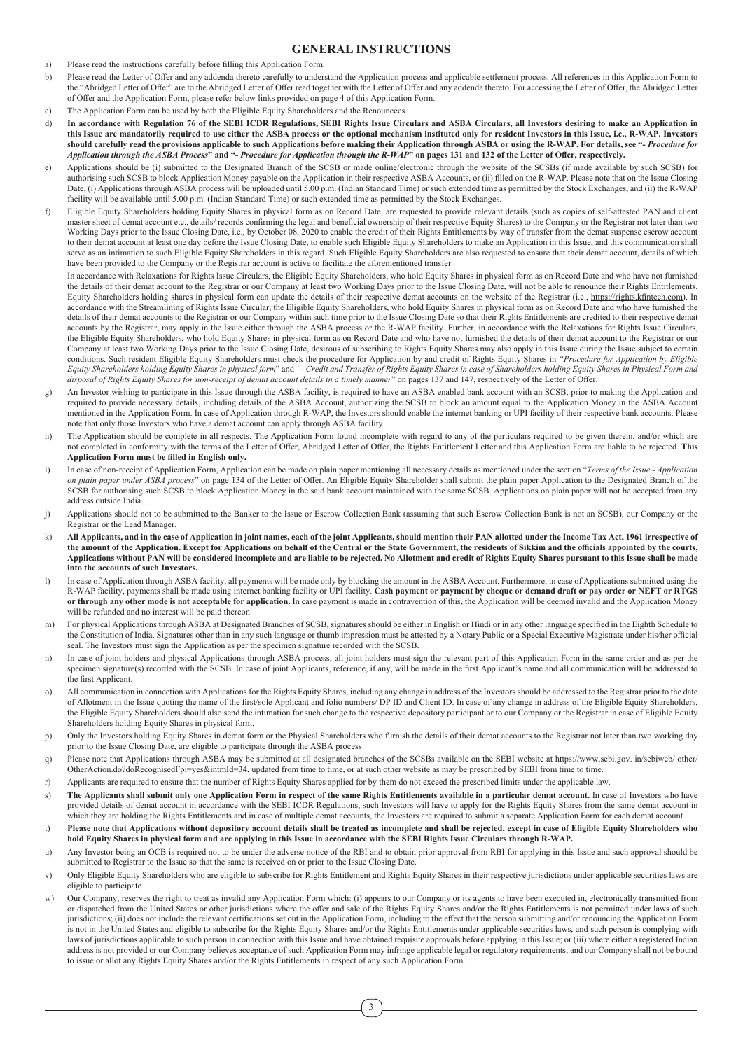## **GENERAL INSTRUCTIONS**

- a) Please read the instructions carefully before filling this Application Form.
- b) Please read the Letter of Offer and any addenda thereto carefully to understand the Application process and applicable settlement process. All references in this Application Form to the "Abridged Letter of Offer" are to the Abridged Letter of Offer read together with the Letter of Offer and any addenda thereto. For accessing the Letter of Offer, the Abridged Letter of Offer and the Application Form, please refer below links provided on page 4 of this Application Form.
- c) The Application Form can be used by both the Eligible Equity Shareholders and the Renouncees.
- d) **In accordance with Regulation 76 of the SEBI ICDR Regulations, SEBI Rights Issue Circulars and ASBA Circulars, all Investors desiring to make an Application in this Issue are mandatorily required to use either the ASBA process or the optional mechanism instituted only for resident Investors in this Issue, i.e., R-WAP. Investors should carefully read the provisions applicable to such Applications before making their Application through ASBA or using the R-WAP. For details, see "***- Procedure for Application through the ASBA Process***" and "***- Procedure for Application through the R-WAP***" on pages 131 and 132 of the Letter of Offer, respectively.**
- e) Applications should be (i) submitted to the Designated Branch of the SCSB or made online/electronic through the website of the SCSBs (if made available by such SCSB) for authorising such SCSB to block Application Money payable on the Application in their respective ASBA Accounts, or (ii) filled on the R-WAP. Please note that on the Issue Closing Date, (i) Applications through ASBA process will be uploaded until 5.00 p.m. (Indian Standard Time) or such extended time as permitted by the Stock Exchanges, and (ii) the R-WAP facility will be available until 5.00 p.m. (Indian Standard Time) or such extended time as permitted by the Stock Exchanges.
- f) Eligible Equity Shareholders holding Equity Shares in physical form as on Record Date, are requested to provide relevant details (such as copies of self-attested PAN and client master sheet of demat account etc., details/ records confirming the legal and beneficial ownership of their respective Equity Shares) to the Company or the Registrar not later than two Working Days prior to the Issue Closing Date, i.e., by October 08, 2020 to enable the credit of their Rights Entitlements by way of transfer from the demat suspense escrow account to their demat account at least one day before the Issue Closing Date, to enable such Eligible Equity Shareholders to make an Application in this Issue, and this communication shall serve as an intimation to such Eligible Equity Shareholders in this regard. Such Eligible Equity Shareholders are also requested to ensure that their demat account, details of which have been provided to the Company or the Registrar account is active to facilitate the aforementioned transfer.

In accordance with Relaxations for Rights Issue Circulars, the Eligible Equity Shareholders, who hold Equity Shares in physical form as on Record Date and who have not furnished the details of their demat account to the Registrar or our Company at least two Working Days prior to the Issue Closing Date, will not be able to renounce their Rights Entitlements. Equity Shareholders holding shares in physical form can update the details of their respective demat accounts on the website of the Registrar (i.e., https://rights.kfintech.com). In accordance with the Streamlining of Rights Issue Circular, the Eligible Equity Shareholders, who hold Equity Shares in physical form as on Record Date and who have furnished the details of their demat accounts to the Registrar or our Company within such time prior to the Issue Closing Date so that their Rights Entitlements are credited to their respective demat accounts by the Registrar, may apply in the Issue either through the ASBA process or the R-WAP facility. Further, in accordance with the Relaxations for Rights Issue Circulars, the Eligible Equity Shareholders, who hold Equity Shares in physical form as on Record Date and who have not furnished the details of their demat account to the Registrar or our Company at least two Working Days prior to the Issue Closing Date, desirous of subscribing to Rights Equity Shares may also apply in this Issue during the Issue subject to certain conditions. Such resident Eligible Equity Shareholders must check the procedure for Application by and credit of Rights Equity Shares in *"Procedure for Application by Eligible Equity Shareholders holding Equity Shares in physical form*" and *"- Credit and Transfer of Rights Equity Shares in case of Shareholders holding Equity Shares in Physical Form and disposal of Rights Equity Shares for non-receipt of demat account details in a timely manner*" on pages 137 and 147, respectively of the Letter of Offer.

- g) An Investor wishing to participate in this Issue through the ASBA facility, is required to have an ASBA enabled bank account with an SCSB, prior to making the Application and required to provide necessary details, including details of the ASBA Account, authorizing the SCSB to block an amount equal to the Application Money in the ASBA Account mentioned in the Application Form. In case of Application through R-WAP, the Investors should enable the internet banking or UPI facility of their respective bank accounts. Please note that only those Investors who have a demat account can apply through ASBA facility.
- h) The Application should be complete in all respects. The Application Form found incomplete with regard to any of the particulars required to be given therein, and/or which are not completed in conformity with the terms of the Letter of Offer, Abridged Letter of Offer, the Rights Entitlement Letter and this Application Form are liable to be rejected. **This Application Form must be filled in English only.**
- i) In case of non-receipt of Application Form, Application can be made on plain paper mentioning all necessary details as mentioned under the section "*Terms of the Issue Application on plain paper under ASBA process*" on page 134 of the Letter of Offer. An Eligible Equity Shareholder shall submit the plain paper Application to the Designated Branch of the SCSB for authorising such SCSB to block Application Money in the said bank account maintained with the same SCSB. Applications on plain paper will not be accepted from any address outside India.
- j) Applications should not to be submitted to the Banker to the Issue or Escrow Collection Bank (assuming that such Escrow Collection Bank is not an SCSB), our Company or the Registrar or the Lead Manager.
- k) **All Applicants, and in the case of Application in joint names, each of the joint Applicants, should mention their PAN allotted under the Income Tax Act, 1961 irrespective of the amount of the Application. Except for Applications on behalf of the Central or the State Government, the residents of Sikkim and the officials appointed by the courts, Applications without PAN will be considered incomplete and are liable to be rejected. No Allotment and credit of Rights Equity Shares pursuant to this Issue shall be made into the accounts of such Investors.**
- l) In case of Application through ASBA facility, all payments will be made only by blocking the amount in the ASBA Account. Furthermore, in case of Applications submitted using the R-WAP facility, payments shall be made using internet banking facility or UPI facility. **Cash payment or payment by cheque or demand draft or pay order or NEFT or RTGS or through any other mode is not acceptable for application.** In case payment is made in contravention of this, the Application will be deemed invalid and the Application Money will be refunded and no interest will be paid thereon.
- m) For physical Applications through ASBA at Designated Branches of SCSB, signatures should be either in English or Hindi or in any other language specified in the Eighth Schedule to the Constitution of India. Signatures other than in any such language or thumb impression must be attested by a Notary Public or a Special Executive Magistrate under his/her official seal. The Investors must sign the Application as per the specimen signature recorded with the SCSB.
- n) In case of joint holders and physical Applications through ASBA process, all joint holders must sign the relevant part of this Application Form in the same order and as per the specimen signature(s) recorded with the SCSB. In case of joint Applicants, reference, if any, will be made in the first Applicant's name and all communication will be addressed to the first Applicant.
- o) All communication in connection with Applications for the Rights Equity Shares, including any change in address of the Investors should be addressed to the Registrar prior to the date of Allotment in the Issue quoting the name of the first/sole Applicant and folio numbers/ DP ID and Client ID. In case of any change in address of the Eligible Equity Shareholders, the Eligible Equity Shareholders should also send the intimation for such change to the respective depository participant or to our Company or the Registrar in case of Eligible Equity Shareholders holding Equity Shares in physical form.
- p) Only the Investors holding Equity Shares in demat form or the Physical Shareholders who furnish the details of their demat accounts to the Registrar not later than two working day prior to the Issue Closing Date, are eligible to participate through the ASBA process
- q) Please note that Applications through ASBA may be submitted at all designated branches of the SCSBs available on the SEBI website at https://www.sebi.gov. in/sebiweb/ other/ OtherAction.do?doRecognisedFpi=yes&intmId=34, updated from time to time, or at such other website as may be prescribed by SEBI from time to time.
- r) Applicants are required to ensure that the number of Rights Equity Shares applied for by them do not exceed the prescribed limits under the applicable law.
- s) The Applicants shall submit only one Application Form in respect of the same Rights Entitlements available in a particular demat account. In case of Investors who have provided details of demat account in accordance with the SEBI ICDR Regulations, such Investors will have to apply for the Rights Equity Shares from the same demat account in which they are holding the Rights Entitlements and in case of multiple demat accounts, the Investors are required to submit a separate Application Form for each demat account.
- t) **Please note that Applications without depository account details shall be treated as incomplete and shall be rejected, except in case of Eligible Equity Shareholders who hold Equity Shares in physical form and are applying in this Issue in accordance with the SEBI Rights Issue Circulars through R-WAP.**
- u) Any Investor being an OCB is required not to be under the adverse notice of the RBI and to obtain prior approval from RBI for applying in this Issue and such approval should be submitted to Registrar to the Issue so that the same is received on or prior to the Issue Closing Date.
- v) Only Eligible Equity Shareholders who are eligible to subscribe for Rights Entitlement and Rights Equity Shares in their respective jurisdictions under applicable securities laws are eligible to participate.
- Our Company, reserves the right to treat as invalid any Application Form which: (i) appears to our Company or its agents to have been executed in, electronically transmitted from or dispatched from the United States or other jurisdictions where the offer and sale of the Rights Equity Shares and/or the Rights Entitlements is not permitted under laws of such jurisdictions; (ii) does not include the relevant certifications set out in the Application Form, including to the effect that the person submitting and/or renouncing the Application Form is not in the United States and eligible to subscribe for the Rights Equity Shares and/or the Rights Entitlements under applicable securities laws, and such person is complying with laws of jurisdictions applicable to such person in connection with this Issue and have obtained requisite approvals before applying in this Issue; or (iii) where either a registered Indian address is not provided or our Company believes acceptance of such Application Form may infringe applicable legal or regulatory requirements; and our Company shall not be bound to issue or allot any Rights Equity Shares and/or the Rights Entitlements in respect of any such Application Form.